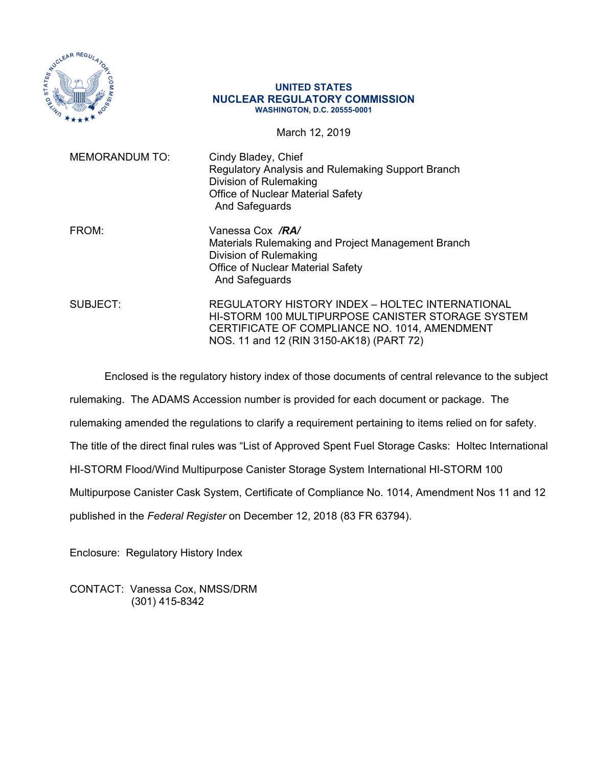

## **UNITED STATES NUCLEAR REGULATORY COMMISSION WASHINGTON, D.C. 20555-0001**

March 12, 2019

| <b>MEMORANDUM TO:</b> | Cindy Bladey, Chief<br><b>Regulatory Analysis and Rulemaking Support Branch</b><br>Division of Rulemaking<br><b>Office of Nuclear Material Safety</b><br>And Safeguards                           |
|-----------------------|---------------------------------------------------------------------------------------------------------------------------------------------------------------------------------------------------|
| FROM:                 | Vanessa Cox / <b>RA/</b><br>Materials Rulemaking and Project Management Branch<br>Division of Rulemaking<br><b>Office of Nuclear Material Safety</b><br>And Safeguards                            |
| SUBJECT:              | REGULATORY HISTORY INDEX - HOLTEC INTERNATIONAL<br>HI-STORM 100 MULTIPURPOSE CANISTER STORAGE SYSTEM<br>CERTIFICATE OF COMPLIANCE NO. 1014, AMENDMENT<br>NOS. 11 and 12 (RIN 3150-AK18) (PART 72) |

Enclosed is the regulatory history index of those documents of central relevance to the subject

rulemaking. The ADAMS Accession number is provided for each document or package. The

rulemaking amended the regulations to clarify a requirement pertaining to items relied on for safety.

The title of the direct final rules was "List of Approved Spent Fuel Storage Casks: Holtec International

HI-STORM Flood/Wind Multipurpose Canister Storage System International HI-STORM 100

Multipurpose Canister Cask System, Certificate of Compliance No. 1014, Amendment Nos 11 and 12

published in the *Federal Register* on December 12, 2018 (83 FR 63794).

Enclosure: Regulatory History Index

CONTACT: Vanessa Cox, NMSS/DRM (301) 415-8342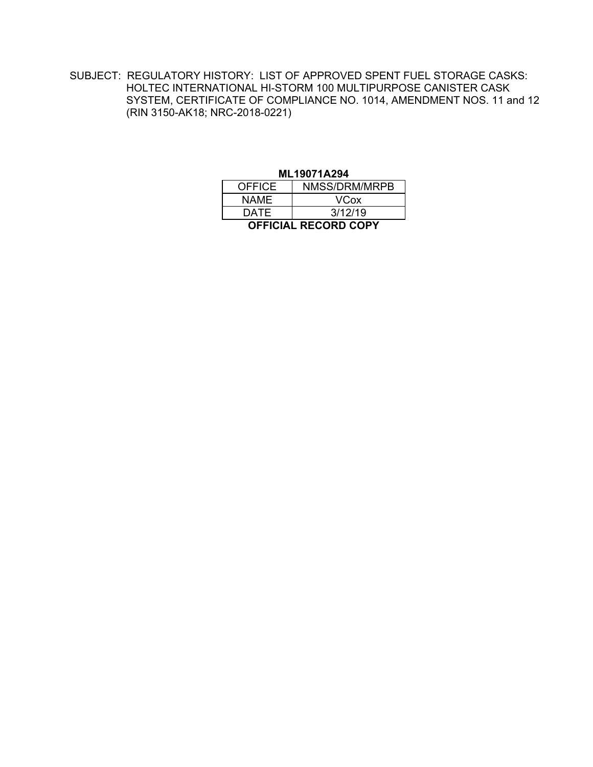SUBJECT: REGULATORY HISTORY: LIST OF APPROVED SPENT FUEL STORAGE CASKS: HOLTEC INTERNATIONAL HI-STORM 100 MULTIPURPOSE CANISTER CASK SYSTEM, CERTIFICATE OF COMPLIANCE NO. 1014, AMENDMENT NOS. 11 and 12 (RIN 3150-AK18; NRC-2018-0221)

| ML19071A294                 |               |  |  |  |  |
|-----------------------------|---------------|--|--|--|--|
| <b>OFFICE</b>               | NMSS/DRM/MRPB |  |  |  |  |
| NAME.                       | <b>VCox</b>   |  |  |  |  |
| DATE                        | 3/12/19       |  |  |  |  |
| <b>OFFICIAL RECORD COPY</b> |               |  |  |  |  |

## ML19021A204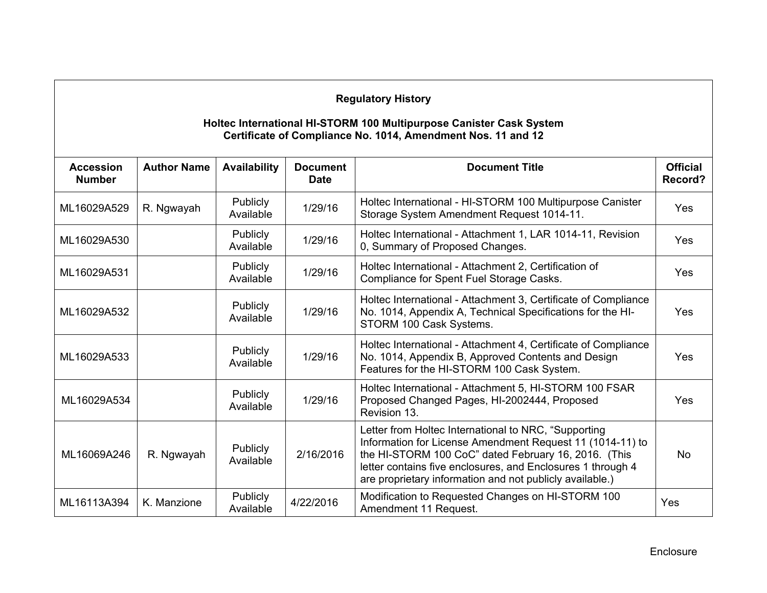## **Regulatory History**

## **Holtec International HI-STORM 100 Multipurpose Canister Cask System Certificate of Compliance No. 1014, Amendment Nos. 11 and 12**

| <b>Accession</b><br><b>Number</b> | <b>Author Name</b> | <b>Availability</b>          | <b>Document</b><br><b>Date</b> | <b>Document Title</b>                                                                                                                                                                                                                                                                                | <b>Official</b><br>Record? |
|-----------------------------------|--------------------|------------------------------|--------------------------------|------------------------------------------------------------------------------------------------------------------------------------------------------------------------------------------------------------------------------------------------------------------------------------------------------|----------------------------|
| ML16029A529                       | R. Ngwayah         | Publicly<br>Available        | 1/29/16                        | Holtec International - HI-STORM 100 Multipurpose Canister<br>Storage System Amendment Request 1014-11.                                                                                                                                                                                               | Yes                        |
| ML16029A530                       |                    | Publicly<br>Available        | 1/29/16                        | Holtec International - Attachment 1, LAR 1014-11, Revision<br>0, Summary of Proposed Changes.                                                                                                                                                                                                        | Yes                        |
| ML16029A531                       |                    | Publicly<br>Available        | 1/29/16                        | Holtec International - Attachment 2, Certification of<br>Compliance for Spent Fuel Storage Casks.                                                                                                                                                                                                    | Yes                        |
| ML16029A532                       |                    | Publicly<br>Available        | 1/29/16                        | Holtec International - Attachment 3, Certificate of Compliance<br>No. 1014, Appendix A, Technical Specifications for the HI-<br>STORM 100 Cask Systems.                                                                                                                                              | Yes                        |
| ML16029A533                       |                    | Publicly<br>Available        | 1/29/16                        | Holtec International - Attachment 4, Certificate of Compliance<br>No. 1014, Appendix B, Approved Contents and Design<br>Features for the HI-STORM 100 Cask System.                                                                                                                                   | <b>Yes</b>                 |
| ML16029A534                       |                    | <b>Publicly</b><br>Available | 1/29/16                        | Holtec International - Attachment 5, HI-STORM 100 FSAR<br>Proposed Changed Pages, HI-2002444, Proposed<br>Revision 13.                                                                                                                                                                               | Yes                        |
| ML16069A246                       | R. Ngwayah         | <b>Publicly</b><br>Available | 2/16/2016                      | Letter from Holtec International to NRC, "Supporting<br>Information for License Amendment Request 11 (1014-11) to<br>the HI-STORM 100 CoC" dated February 16, 2016. (This<br>letter contains five enclosures, and Enclosures 1 through 4<br>are proprietary information and not publicly available.) | <b>No</b>                  |
| ML16113A394                       | K. Manzione        | <b>Publicly</b><br>Available | 4/22/2016                      | Modification to Requested Changes on HI-STORM 100<br>Amendment 11 Request.                                                                                                                                                                                                                           | Yes                        |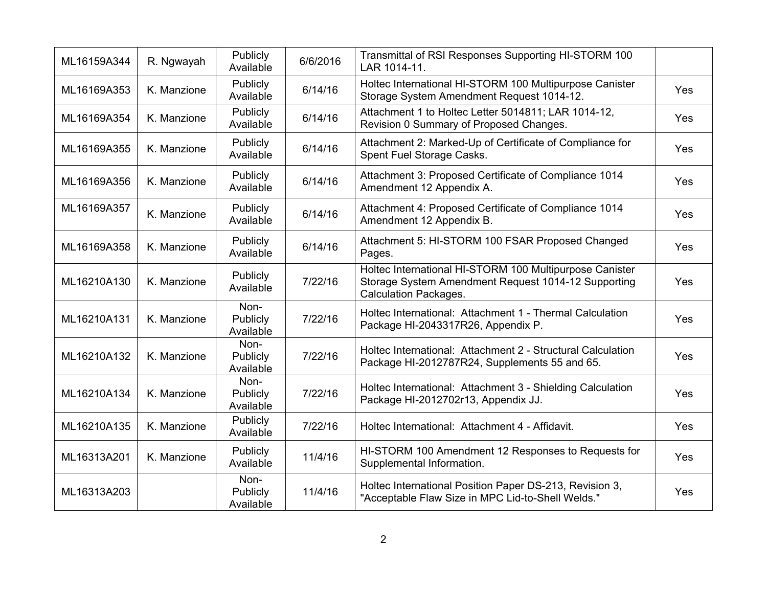| ML16159A344 | R. Ngwayah  | Publicly<br>Available         | 6/6/2016 | Transmittal of RSI Responses Supporting HI-STORM 100<br>LAR 1014-11.                                                                           |     |
|-------------|-------------|-------------------------------|----------|------------------------------------------------------------------------------------------------------------------------------------------------|-----|
| ML16169A353 | K. Manzione | Publicly<br>Available         | 6/14/16  | Holtec International HI-STORM 100 Multipurpose Canister<br>Storage System Amendment Request 1014-12.                                           | Yes |
| ML16169A354 | K. Manzione | Publicly<br>Available         | 6/14/16  | Attachment 1 to Holtec Letter 5014811; LAR 1014-12,<br>Revision 0 Summary of Proposed Changes.                                                 | Yes |
| ML16169A355 | K. Manzione | Publicly<br>Available         | 6/14/16  | Attachment 2: Marked-Up of Certificate of Compliance for<br>Spent Fuel Storage Casks.                                                          | Yes |
| ML16169A356 | K. Manzione | Publicly<br>Available         | 6/14/16  | Attachment 3: Proposed Certificate of Compliance 1014<br>Amendment 12 Appendix A.                                                              | Yes |
| ML16169A357 | K. Manzione | Publicly<br>Available         | 6/14/16  | Attachment 4: Proposed Certificate of Compliance 1014<br>Amendment 12 Appendix B.                                                              | Yes |
| ML16169A358 | K. Manzione | Publicly<br>Available         | 6/14/16  | Attachment 5: HI-STORM 100 FSAR Proposed Changed<br>Pages.                                                                                     | Yes |
| ML16210A130 | K. Manzione | Publicly<br>Available         | 7/22/16  | Holtec International HI-STORM 100 Multipurpose Canister<br>Storage System Amendment Request 1014-12 Supporting<br><b>Calculation Packages.</b> | Yes |
| ML16210A131 | K. Manzione | Non-<br>Publicly<br>Available | 7/22/16  | Holtec International: Attachment 1 - Thermal Calculation<br>Package HI-2043317R26, Appendix P.                                                 | Yes |
| ML16210A132 | K. Manzione | Non-<br>Publicly<br>Available | 7/22/16  | Holtec International: Attachment 2 - Structural Calculation<br>Package HI-2012787R24, Supplements 55 and 65.                                   | Yes |
| ML16210A134 | K. Manzione | Non-<br>Publicly<br>Available | 7/22/16  | Holtec International: Attachment 3 - Shielding Calculation<br>Package HI-2012702r13, Appendix JJ.                                              | Yes |
| ML16210A135 | K. Manzione | Publicly<br>Available         | 7/22/16  | Holtec International: Attachment 4 - Affidavit.                                                                                                | Yes |
| ML16313A201 | K. Manzione | Publicly<br>Available         | 11/4/16  | HI-STORM 100 Amendment 12 Responses to Requests for<br>Supplemental Information.                                                               | Yes |
| ML16313A203 |             | Non-<br>Publicly<br>Available | 11/4/16  | Holtec International Position Paper DS-213, Revision 3,<br>"Acceptable Flaw Size in MPC Lid-to-Shell Welds."                                   | Yes |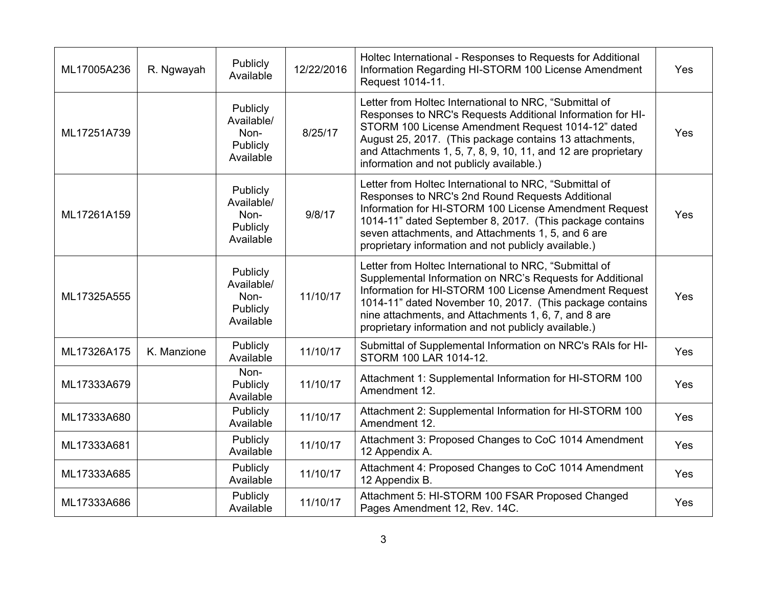| ML17005A236 | R. Ngwayah  | Publicly<br>Available                                   | 12/22/2016 | Holtec International - Responses to Requests for Additional<br>Information Regarding HI-STORM 100 License Amendment<br>Request 1014-11.                                                                                                                                                                                                                   | Yes |
|-------------|-------------|---------------------------------------------------------|------------|-----------------------------------------------------------------------------------------------------------------------------------------------------------------------------------------------------------------------------------------------------------------------------------------------------------------------------------------------------------|-----|
| ML17251A739 |             | Publicly<br>Available/<br>Non-<br>Publicly<br>Available | 8/25/17    | Letter from Holtec International to NRC, "Submittal of<br>Responses to NRC's Requests Additional Information for HI-<br>STORM 100 License Amendment Request 1014-12" dated<br>August 25, 2017. (This package contains 13 attachments,<br>and Attachments 1, 5, 7, 8, 9, 10, 11, and 12 are proprietary<br>information and not publicly available.)        | Yes |
| ML17261A159 |             | Publicly<br>Available/<br>Non-<br>Publicly<br>Available | 9/8/17     | Letter from Holtec International to NRC, "Submittal of<br>Responses to NRC's 2nd Round Requests Additional<br>Information for HI-STORM 100 License Amendment Request<br>1014-11" dated September 8, 2017. (This package contains<br>seven attachments, and Attachments 1, 5, and 6 are<br>proprietary information and not publicly available.)            | Yes |
| ML17325A555 |             | Publicly<br>Available/<br>Non-<br>Publicly<br>Available | 11/10/17   | Letter from Holtec International to NRC, "Submittal of<br>Supplemental Information on NRC's Requests for Additional<br>Information for HI-STORM 100 License Amendment Request<br>1014-11" dated November 10, 2017. (This package contains<br>nine attachments, and Attachments 1, 6, 7, and 8 are<br>proprietary information and not publicly available.) | Yes |
| ML17326A175 | K. Manzione | Publicly<br>Available                                   | 11/10/17   | Submittal of Supplemental Information on NRC's RAIs for HI-<br>STORM 100 LAR 1014-12.                                                                                                                                                                                                                                                                     | Yes |
| ML17333A679 |             | Non-<br>Publicly<br>Available                           | 11/10/17   | Attachment 1: Supplemental Information for HI-STORM 100<br>Amendment 12.                                                                                                                                                                                                                                                                                  | Yes |
| ML17333A680 |             | Publicly<br>Available                                   | 11/10/17   | Attachment 2: Supplemental Information for HI-STORM 100<br>Amendment 12.                                                                                                                                                                                                                                                                                  | Yes |
| ML17333A681 |             | Publicly<br>Available                                   | 11/10/17   | Attachment 3: Proposed Changes to CoC 1014 Amendment<br>12 Appendix A.                                                                                                                                                                                                                                                                                    | Yes |
| ML17333A685 |             | Publicly<br>Available                                   | 11/10/17   | Attachment 4: Proposed Changes to CoC 1014 Amendment<br>12 Appendix B.                                                                                                                                                                                                                                                                                    | Yes |
| ML17333A686 |             | Publicly<br>Available                                   | 11/10/17   | Attachment 5: HI-STORM 100 FSAR Proposed Changed<br>Pages Amendment 12, Rev. 14C.                                                                                                                                                                                                                                                                         | Yes |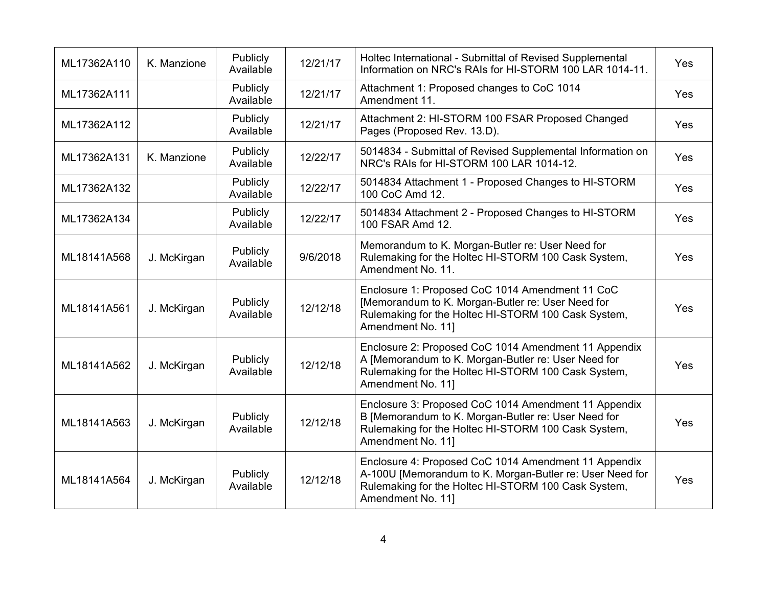| ML17362A110 | K. Manzione | Publicly<br>Available | 12/21/17 | Holtec International - Submittal of Revised Supplemental<br>Information on NRC's RAIs for HI-STORM 100 LAR 1014-11.                                                                          | Yes |
|-------------|-------------|-----------------------|----------|----------------------------------------------------------------------------------------------------------------------------------------------------------------------------------------------|-----|
| ML17362A111 |             | Publicly<br>Available | 12/21/17 | Attachment 1: Proposed changes to CoC 1014<br>Amendment 11.                                                                                                                                  | Yes |
| ML17362A112 |             | Publicly<br>Available | 12/21/17 | Attachment 2: HI-STORM 100 FSAR Proposed Changed<br>Pages (Proposed Rev. 13.D).                                                                                                              | Yes |
| ML17362A131 | K. Manzione | Publicly<br>Available | 12/22/17 | 5014834 - Submittal of Revised Supplemental Information on<br>NRC's RAIs for HI-STORM 100 LAR 1014-12.                                                                                       | Yes |
| ML17362A132 |             | Publicly<br>Available | 12/22/17 | 5014834 Attachment 1 - Proposed Changes to HI-STORM<br>100 CoC Amd 12.                                                                                                                       | Yes |
| ML17362A134 |             | Publicly<br>Available | 12/22/17 | 5014834 Attachment 2 - Proposed Changes to HI-STORM<br>100 FSAR Amd 12.                                                                                                                      | Yes |
| ML18141A568 | J. McKirgan | Publicly<br>Available | 9/6/2018 | Memorandum to K. Morgan-Butler re: User Need for<br>Rulemaking for the Holtec HI-STORM 100 Cask System,<br>Amendment No. 11.                                                                 | Yes |
| ML18141A561 | J. McKirgan | Publicly<br>Available | 12/12/18 | Enclosure 1: Proposed CoC 1014 Amendment 11 CoC<br>[Memorandum to K. Morgan-Butler re: User Need for<br>Rulemaking for the Holtec HI-STORM 100 Cask System,<br>Amendment No. 11]             | Yes |
| ML18141A562 | J. McKirgan | Publicly<br>Available | 12/12/18 | Enclosure 2: Proposed CoC 1014 Amendment 11 Appendix<br>A [Memorandum to K. Morgan-Butler re: User Need for<br>Rulemaking for the Holtec HI-STORM 100 Cask System,<br>Amendment No. 11]      | Yes |
| ML18141A563 | J. McKirgan | Publicly<br>Available | 12/12/18 | Enclosure 3: Proposed CoC 1014 Amendment 11 Appendix<br>B [Memorandum to K. Morgan-Butler re: User Need for<br>Rulemaking for the Holtec HI-STORM 100 Cask System,<br>Amendment No. 11]      | Yes |
| ML18141A564 | J. McKirgan | Publicly<br>Available | 12/12/18 | Enclosure 4: Proposed CoC 1014 Amendment 11 Appendix<br>A-100U [Memorandum to K. Morgan-Butler re: User Need for<br>Rulemaking for the Holtec HI-STORM 100 Cask System,<br>Amendment No. 11] | Yes |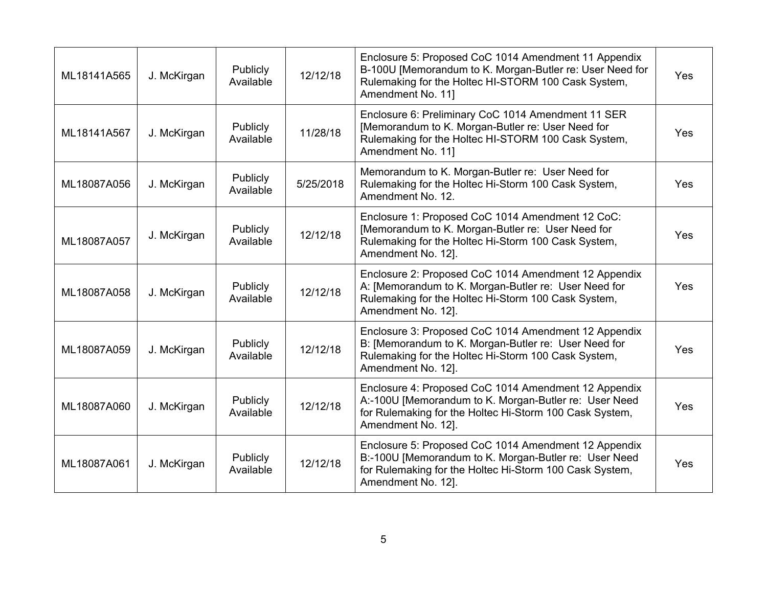| ML18141A565 | J. McKirgan | Publicly<br>Available | 12/12/18  | Enclosure 5: Proposed CoC 1014 Amendment 11 Appendix<br>B-100U [Memorandum to K. Morgan-Butler re: User Need for<br>Rulemaking for the Holtec HI-STORM 100 Cask System,<br>Amendment No. 11]   | Yes |
|-------------|-------------|-----------------------|-----------|------------------------------------------------------------------------------------------------------------------------------------------------------------------------------------------------|-----|
| ML18141A567 | J. McKirgan | Publicly<br>Available | 11/28/18  | Enclosure 6: Preliminary CoC 1014 Amendment 11 SER<br>[Memorandum to K. Morgan-Butler re: User Need for<br>Rulemaking for the Holtec HI-STORM 100 Cask System,<br>Amendment No. 11]            | Yes |
| ML18087A056 | J. McKirgan | Publicly<br>Available | 5/25/2018 | Memorandum to K. Morgan-Butler re: User Need for<br>Rulemaking for the Holtec Hi-Storm 100 Cask System,<br>Amendment No. 12.                                                                   | Yes |
| ML18087A057 | J. McKirgan | Publicly<br>Available | 12/12/18  | Enclosure 1: Proposed CoC 1014 Amendment 12 CoC:<br>[Memorandum to K. Morgan-Butler re: User Need for<br>Rulemaking for the Holtec Hi-Storm 100 Cask System,<br>Amendment No. 12].             | Yes |
| ML18087A058 | J. McKirgan | Publicly<br>Available | 12/12/18  | Enclosure 2: Proposed CoC 1014 Amendment 12 Appendix<br>A: [Memorandum to K. Morgan-Butler re: User Need for<br>Rulemaking for the Holtec Hi-Storm 100 Cask System,<br>Amendment No. 12].      | Yes |
| ML18087A059 | J. McKirgan | Publicly<br>Available | 12/12/18  | Enclosure 3: Proposed CoC 1014 Amendment 12 Appendix<br>B: [Memorandum to K. Morgan-Butler re: User Need for<br>Rulemaking for the Holtec Hi-Storm 100 Cask System,<br>Amendment No. 12].      | Yes |
| ML18087A060 | J. McKirgan | Publicly<br>Available | 12/12/18  | Enclosure 4: Proposed CoC 1014 Amendment 12 Appendix<br>A:-100U [Memorandum to K. Morgan-Butler re: User Need<br>for Rulemaking for the Holtec Hi-Storm 100 Cask System,<br>Amendment No. 12]. | Yes |
| ML18087A061 | J. McKirgan | Publicly<br>Available | 12/12/18  | Enclosure 5: Proposed CoC 1014 Amendment 12 Appendix<br>B:-100U [Memorandum to K. Morgan-Butler re: User Need<br>for Rulemaking for the Holtec Hi-Storm 100 Cask System,<br>Amendment No. 12]. | Yes |